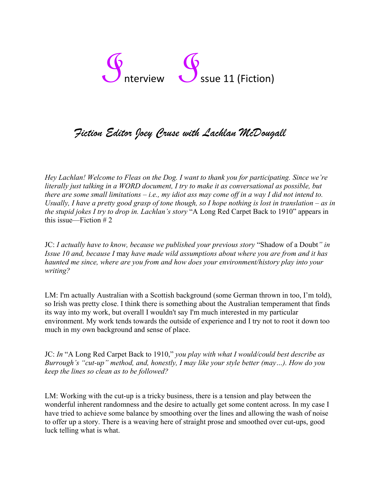## ssue 11 (Fiction)

## *Fiction Editor Joey Cruse with Lachlan McDougall*

*Hey Lachlan! Welcome to Fleas on the Dog. I want to thank you for participating. Since we're literally just talking in a WORD document, I try to make it as conversational as possible, but there are some small limitations – i.e., my idiot ass may come off in a way I did not intend to. Usually, I have a pretty good grasp of tone though, so I hope nothing is lost in translation – as in the stupid jokes I try to drop in. Lachlan's story* "A Long Red Carpet Back to 1910" appears in this issue—Fiction # 2

JC: *I actually have to know, because we published your previous story* "Shadow of a Doubt*" in Issue 10 and, because I* may *have made wild assumptions about where you are from and it has haunted me since, where are you from and how does your environment/history play into your writing?* 

LM: I'm actually Australian with a Scottish background (some German thrown in too, I'm told), so Irish was pretty close. I think there is something about the Australian temperament that finds its way into my work, but overall I wouldn't say I'm much interested in my particular environment. My work tends towards the outside of experience and I try not to root it down too much in my own background and sense of place.

JC: *In* "A Long Red Carpet Back to 1910," *you play with what I would/could best describe as Burrough's "cut-up" method, and, honestly, I may like your style better (may…). How do you keep the lines so clean as to be followed?* 

LM: Working with the cut-up is a tricky business, there is a tension and play between the wonderful inherent randomness and the desire to actually get some content across. In my case I have tried to achieve some balance by smoothing over the lines and allowing the wash of noise to offer up a story. There is a weaving here of straight prose and smoothed over cut-ups, good luck telling what is what.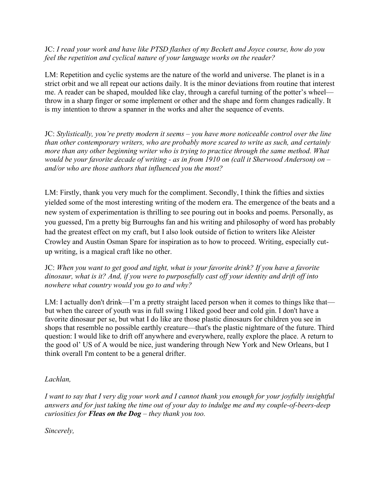JC: *I read your work and have like PTSD flashes of my Beckett and Joyce course, how do you feel the repetition and cyclical nature of your language works on the reader?*

LM: Repetition and cyclic systems are the nature of the world and universe. The planet is in a strict orbit and we all repeat our actions daily. It is the minor deviations from routine that interest me. A reader can be shaped, moulded like clay, through a careful turning of the potter's wheel throw in a sharp finger or some implement or other and the shape and form changes radically. It is my intention to throw a spanner in the works and alter the sequence of events.

JC: *Stylistically, you're pretty modern it seems – you have more noticeable control over the line than other contemporary writers, who are probably more scared to write as such, and certainly more than any other beginning writer who is trying to practice through the same method. What would be your favorite decade of writing - as in from 1910 on (call it Sherwood Anderson) on – and/or who are those authors that influenced you the most?* 

LM: Firstly, thank you very much for the compliment. Secondly, I think the fifties and sixties yielded some of the most interesting writing of the modern era. The emergence of the beats and a new system of experimentation is thrilling to see pouring out in books and poems. Personally, as you guessed, I'm a pretty big Burroughs fan and his writing and philosophy of word has probably had the greatest effect on my craft, but I also look outside of fiction to writers like Aleister Crowley and Austin Osman Spare for inspiration as to how to proceed. Writing, especially cutup writing, is a magical craft like no other.

JC: *When you want to get good and tight, what is your favorite drink? If you have a favorite dinosaur, what is it? And, if you were to purposefully cast off your identity and drift off into nowhere what country would you go to and why?* 

LM: I actually don't drink—I'm a pretty straight laced person when it comes to things like that but when the career of youth was in full swing I liked good beer and cold gin. I don't have a favorite dinosaur per se, but what I do like are those plastic dinosaurs for children you see in shops that resemble no possible earthly creature—that's the plastic nightmare of the future. Third question: I would like to drift off anywhere and everywhere, really explore the place. A return to the good ol' US of A would be nice, just wandering through New York and New Orleans, but I think overall I'm content to be a general drifter.

*Lachlan,*

*I want to say that I very dig your work and I cannot thank you enough for your joyfully insightful answers and for just taking the time out of your day to indulge me and my couple-of-beers-deep curiosities for Fleas on the Dog – they thank you too.* 

*Sincerely,*